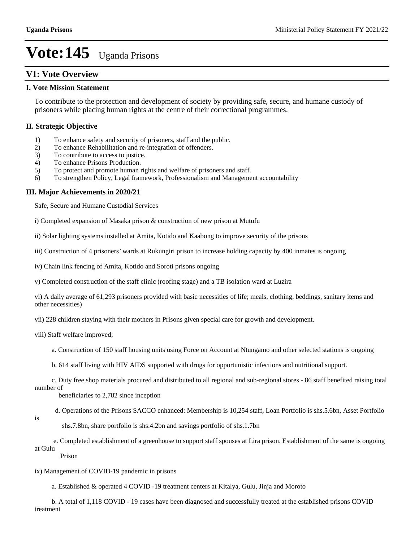### **V1: Vote Overview**

#### **I. Vote Mission Statement**

To contribute to the protection and development of society by providing safe, secure, and humane custody of prisoners while placing human rights at the centre of their correctional programmes.

#### **II. Strategic Objective**

- 1) To enhance safety and security of prisoners, staff and the public.
- 2) To enhance Rehabilitation and re-integration of offenders.
- 3) To contribute to access to justice.
- 4) To enhance Prisons Production.
- 5) To protect and promote human rights and welfare of prisoners and staff.
- 6) To strengthen Policy, Legal framework, Professionalism and Management accountability

#### **III. Major Achievements in 2020/21**

Safe, Secure and Humane Custodial Services

i) Completed expansion of Masaka prison & construction of new prison at Mutufu

ii) Solar lighting systems installed at Amita, Kotido and Kaabong to improve security of the prisons

- iii) Construction of 4 prisoners' wards at Rukungiri prison to increase holding capacity by 400 inmates is ongoing
- iv) Chain link fencing of Amita, Kotido and Soroti prisons ongoing

v) Completed construction of the staff clinic (roofing stage) and a TB isolation ward at Luzira

vi) A daily average of 61,293 prisoners provided with basic necessities of life; meals, clothing, beddings, sanitary items and other necessities)

vii) 228 children staying with their mothers in Prisons given special care for growth and development.

- viii) Staff welfare improved;
	- a. Construction of 150 staff housing units using Force on Account at Ntungamo and other selected stations is ongoing
	- b. 614 staff living with HIV AIDS supported with drugs for opportunistic infections and nutritional support.
- c. Duty free shop materials procured and distributed to all regional and sub-regional stores 86 staff benefited raising total number of

beneficiaries to 2,782 since inception

- d. Operations of the Prisons SACCO enhanced: Membership is 10,254 staff, Loan Portfolio is shs.5.6bn, Asset Portfolio
- is

shs.7.8bn, share portfolio is shs.4.2bn and savings portfolio of shs.1.7bn

 e. Completed establishment of a greenhouse to support staff spouses at Lira prison. Establishment of the same is ongoing at Gulu

Prison

- ix) Management of COVID-19 pandemic in prisons
	- a. Established & operated 4 COVID -19 treatment centers at Kitalya, Gulu, Jinja and Moroto
- b. A total of 1,118 COVID 19 cases have been diagnosed and successfully treated at the established prisons COVID treatment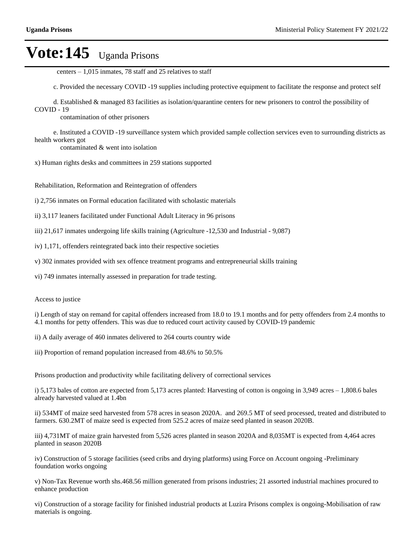centers  $-1,015$  inmates, 78 staff and 25 relatives to staff

c. Provided the necessary COVID -19 supplies including protective equipment to facilitate the response and protect self

 d. Established & managed 83 facilities as isolation/quarantine centers for new prisoners to control the possibility of COVID - 19

contamination of other prisoners

 e. Instituted a COVID -19 surveillance system which provided sample collection services even to surrounding districts as health workers got

contaminated & went into isolation

x) Human rights desks and committees in 259 stations supported

Rehabilitation, Reformation and Reintegration of offenders

i) 2,756 inmates on Formal education facilitated with scholastic materials

ii) 3,117 leaners facilitated under Functional Adult Literacy in 96 prisons

iii) 21,617 inmates undergoing life skills training (Agriculture -12,530 and Industrial - 9,087)

iv) 1,171, offenders reintegrated back into their respective societies

v) 302 inmates provided with sex offence treatment programs and entrepreneurial skills training

vi) 749 inmates internally assessed in preparation for trade testing.

Access to justice

i) Length of stay on remand for capital offenders increased from 18.0 to 19.1 months and for petty offenders from 2.4 months to 4.1 months for petty offenders. This was due to reduced court activity caused by COVID-19 pandemic

ii) A daily average of 460 inmates delivered to 264 courts country wide

iii) Proportion of remand population increased from 48.6% to 50.5%

Prisons production and productivity while facilitating delivery of correctional services

i) 5,173 bales of cotton are expected from 5,173 acres planted: Harvesting of cotton is ongoing in  $3,949$  acres  $-1,808.6$  bales already harvested valued at 1.4bn

ii) 534MT of maize seed harvested from 578 acres in season 2020A. and 269.5 MT of seed processed, treated and distributed to farmers. 630.2MT of maize seed is expected from 525.2 acres of maize seed planted in season 2020B.

iii) 4,731MT of maize grain harvested from 5,526 acres planted in season 2020A and 8,035MT is expected from 4,464 acres planted in season 2020B

iv) Construction of 5 storage facilities (seed cribs and drying platforms) using Force on Account ongoing -Preliminary foundation works ongoing

v) Non-Tax Revenue worth shs.468.56 million generated from prisons industries; 21 assorted industrial machines procured to enhance production

vi) Construction of a storage facility for finished industrial products at Luzira Prisons complex is ongoing-Mobilisation of raw materials is ongoing.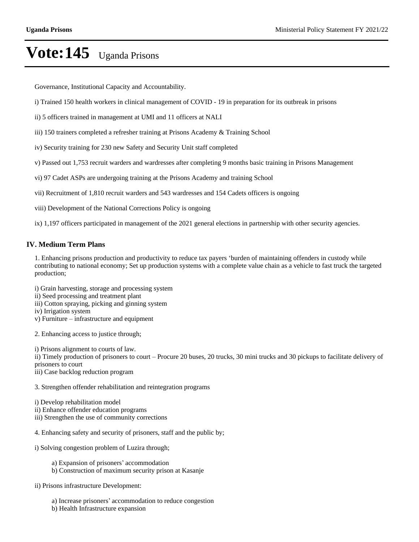Governance, Institutional Capacity and Accountability.

- i) Trained 150 health workers in clinical management of COVID 19 in preparation for its outbreak in prisons
- ii) 5 officers trained in management at UMI and 11 officers at NALI
- iii) 150 trainers completed a refresher training at Prisons Academy & Training School
- iv) Security training for 230 new Safety and Security Unit staff completed
- v) Passed out 1,753 recruit warders and wardresses after completing 9 months basic training in Prisons Management
- vi) 97 Cadet ASPs are undergoing training at the Prisons Academy and training School
- vii) Recruitment of 1,810 recruit warders and 543 wardresses and 154 Cadets officers is ongoing
- viii) Development of the National Corrections Policy is ongoing

ix) 1,197 officers participated in management of the 2021 general elections in partnership with other security agencies.

#### **IV. Medium Term Plans**

1. Enhancing prisons production and productivity to reduce tax payers 'burden of maintaining offenders in custody while contributing to national economy; Set up production systems with a complete value chain as a vehicle to fast truck the targeted production;

- i) Grain harvesting, storage and processing system
- ii) Seed processing and treatment plant
- iii) Cotton spraying, picking and ginning system
- iv) Irrigation system
- $v)$  Furniture  $-$  infrastructure and equipment
- 2. Enhancing access to justice through;

i) Prisons alignment to courts of law.

ii) Timely production of prisoners to court – Procure 20 buses, 20 trucks, 30 mini trucks and 30 pickups to facilitate delivery of prisoners to court

iii) Case backlog reduction program

3. Strengthen offender rehabilitation and reintegration programs

- i) Develop rehabilitation model
- ii) Enhance offender education programs
- iii) Strengthen the use of community corrections
- 4. Enhancing safety and security of prisoners, staff and the public by;
- i) Solving congestion problem of Luzira through;
	- a) Expansion of prisoners' accommodation
	- b) Construction of maximum security prison at Kasanje
- ii) Prisons infrastructure Development:
	- a) Increase prisoners' accommodation to reduce congestion
	- b) Health Infrastructure expansion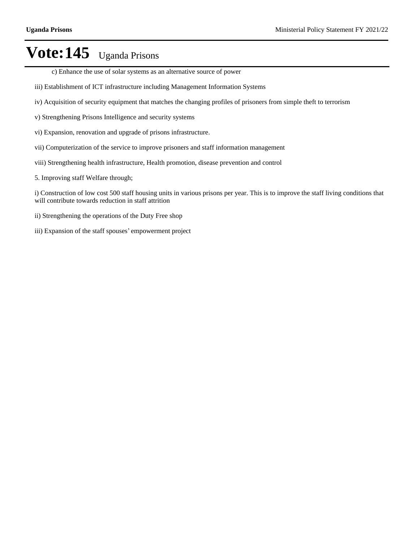- c) Enhance the use of solar systems as an alternative source of power
- iii) Establishment of ICT infrastructure including Management Information Systems
- iv) Acquisition of security equipment that matches the changing profiles of prisoners from simple theft to terrorism
- v) Strengthening Prisons Intelligence and security systems
- vi) Expansion, renovation and upgrade of prisons infrastructure.
- vii) Computerization of the service to improve prisoners and staff information management
- viii) Strengthening health infrastructure, Health promotion, disease prevention and control
- 5. Improving staff Welfare through;

i) Construction of low cost 500 staff housing units in various prisons per year. This is to improve the staff living conditions that will contribute towards reduction in staff attrition

- ii) Strengthening the operations of the Duty Free shop
- iii) Expansion of the staff spouses' empowerment project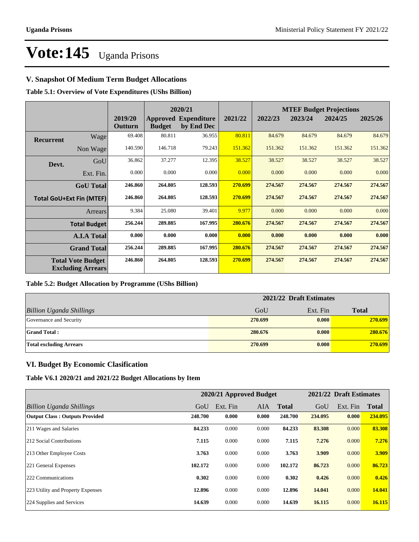### **V. Snapshot Of Medium Term Budget Allocations**

**Table 5.1: Overview of Vote Expenditures (UShs Billion)**

|                  |                                                      |                    |               | 2020/21                                   |         | <b>MTEF Budget Projections</b> |         |         |         |
|------------------|------------------------------------------------------|--------------------|---------------|-------------------------------------------|---------|--------------------------------|---------|---------|---------|
|                  |                                                      | 2019/20<br>Outturn | <b>Budget</b> | <b>Approved Expenditure</b><br>by End Dec | 2021/22 | 2022/23                        | 2023/24 | 2024/25 | 2025/26 |
| <b>Recurrent</b> | Wage                                                 | 69.408             | 80.811        | 36.955                                    | 80.811  | 84.679                         | 84.679  | 84.679  | 84.679  |
|                  | Non Wage                                             | 140.590            | 146.718       | 79.243                                    | 151.362 | 151.362                        | 151.362 | 151.362 | 151.362 |
| Devt.            | GoU                                                  | 36.862             | 37.277        | 12.395                                    | 38.527  | 38.527                         | 38.527  | 38.527  | 38.527  |
|                  | Ext. Fin.                                            | 0.000              | 0.000         | 0.000                                     | 0.000   | 0.000                          | 0.000   | 0.000   | 0.000   |
|                  | <b>GoU</b> Total                                     | 246.860            | 264.805       | 128.593                                   | 270.699 | 274.567                        | 274.567 | 274.567 | 274.567 |
|                  | <b>Total GoU+Ext Fin (MTEF)</b>                      | 246.860            | 264.805       | 128.593                                   | 270.699 | 274.567                        | 274.567 | 274.567 | 274.567 |
|                  | Arrears                                              | 9.384              | 25.080        | 39.401                                    | 9.977   | 0.000                          | 0.000   | 0.000   | 0.000   |
|                  | <b>Total Budget</b>                                  | 256.244            | 289.885       | 167.995                                   | 280.676 | 274.567                        | 274.567 | 274.567 | 274.567 |
|                  | <b>A.I.A Total</b>                                   | 0.000              | 0.000         | 0.000                                     | 0.000   | 0.000                          | 0.000   | 0.000   | 0.000   |
|                  | <b>Grand Total</b>                                   | 256.244            | 289.885       | 167.995                                   | 280.676 | 274.567                        | 274.567 | 274.567 | 274.567 |
|                  | <b>Total Vote Budget</b><br><b>Excluding Arrears</b> | 246.860            | 264.805       | 128.593                                   | 270.699 | 274.567                        | 274.567 | 274.567 | 274.567 |

#### **Table 5.2: Budget Allocation by Programme (UShs Billion)**

|                                 | 2021/22 Draft Estimates |          |              |  |  |
|---------------------------------|-------------------------|----------|--------------|--|--|
| <b>Billion Uganda Shillings</b> | GoU                     | Ext. Fin | <b>Total</b> |  |  |
| Governance and Security         | 270.699                 | 0.000    | 270.699      |  |  |
| <b>Grand Total:</b>             | 280.676                 | 0.000    | 280.676      |  |  |
| <b>Total excluding Arrears</b>  | 270.699                 | 0.000    | 270.699      |  |  |

#### **VI. Budget By Economic Clasification**

**Table V6.1 2020/21 and 2021/22 Budget Allocations by Item**

|                                       | 2020/21 Approved Budget |          |       |              | 2021/22 Draft Estimates |          |              |
|---------------------------------------|-------------------------|----------|-------|--------------|-------------------------|----------|--------------|
| Billion Uganda Shillings              | GoU                     | Ext. Fin | AIA   | <b>Total</b> | GoU                     | Ext. Fin | <b>Total</b> |
| <b>Output Class: Outputs Provided</b> | 248.700                 | 0.000    | 0.000 | 248.700      | 234.095                 | 0.000    | 234.095      |
| 211 Wages and Salaries                | 84.233                  | 0.000    | 0.000 | 84.233       | 83.308                  | 0.000    | 83.308       |
| 212 Social Contributions              | 7.115                   | 0.000    | 0.000 | 7.115        | 7.276                   | 0.000    | 7.276        |
| 213 Other Employee Costs              | 3.763                   | 0.000    | 0.000 | 3.763        | 3.909                   | 0.000    | 3.909        |
| 221 General Expenses                  | 102.172                 | 0.000    | 0.000 | 102.172      | 86.723                  | 0.000    | 86.723       |
| 222 Communications                    | 0.302                   | 0.000    | 0.000 | 0.302        | 0.426                   | 0.000    | 0.426        |
| 223 Utility and Property Expenses     | 12.896                  | 0.000    | 0.000 | 12.896       | 14.041                  | 0.000    | 14.041       |
| 224 Supplies and Services             | 14.639                  | 0.000    | 0.000 | 14.639       | 16.115                  | 0.000    | 16.115       |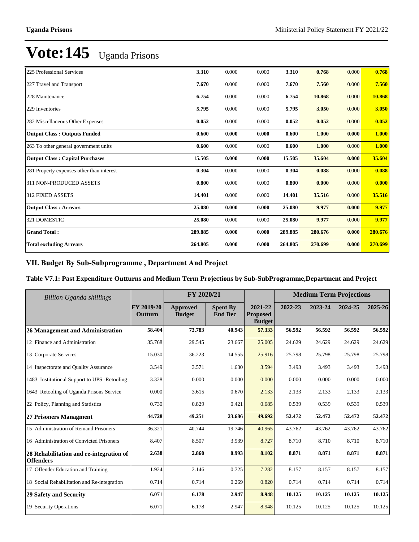| <b>Total excluding Arrears</b>            | 264.805 | 0.000 | 0.000 | 264.805 | 270.699 | 0.000 | 270.699 |
|-------------------------------------------|---------|-------|-------|---------|---------|-------|---------|
| <b>Grand Total:</b>                       | 289.885 | 0.000 | 0.000 | 289.885 | 280.676 | 0.000 | 280.676 |
| 321 DOMESTIC                              | 25.080  | 0.000 | 0.000 | 25.080  | 9.977   | 0.000 | 9.977   |
| <b>Output Class: Arrears</b>              | 25.080  | 0.000 | 0.000 | 25.080  | 9.977   | 0.000 | 9.977   |
| 312 FIXED ASSETS                          | 14.401  | 0.000 | 0.000 | 14.401  | 35.516  | 0.000 | 35.516  |
| 311 NON-PRODUCED ASSETS                   | 0.800   | 0.000 | 0.000 | 0.800   | 0.000   | 0.000 | 0.000   |
| 281 Property expenses other than interest | 0.304   | 0.000 | 0.000 | 0.304   | 0.088   | 0.000 | 0.088   |
| <b>Output Class: Capital Purchases</b>    | 15.505  | 0.000 | 0.000 | 15.505  | 35.604  | 0.000 | 35.604  |
| 263 To other general government units     | 0.600   | 0.000 | 0.000 | 0.600   | 1.000   | 0.000 | 1.000   |
| <b>Output Class: Outputs Funded</b>       | 0.600   | 0.000 | 0.000 | 0.600   | 1.000   | 0.000 | 1.000   |
| 282 Miscellaneous Other Expenses          | 0.052   | 0.000 | 0.000 | 0.052   | 0.052   | 0.000 | 0.052   |
| 229 Inventories                           | 5.795   | 0.000 | 0.000 | 5.795   | 3.050   | 0.000 | 3.050   |
| 228 Maintenance                           | 6.754   | 0.000 | 0.000 | 6.754   | 10.868  | 0.000 | 10.868  |
| 227 Travel and Transport                  | 7.670   | 0.000 | 0.000 | 7.670   | 7.560   | 0.000 | 7.560   |
| 225 Professional Services                 | 3.310   | 0.000 | 0.000 | 3.310   | 0.768   | 0.000 | 0.768   |

### VII. Budget By Sub-Subprogramme, Department And Project

### **Table V7.1: Past Expenditure Outturns and Medium Term Projections by Sub-SubProgramme,Department and Project**

| Billion Uganda shillings                                    |                       | FY 2020/21                |                                   |                                             |         | <b>Medium Term Projections</b> |         |         |
|-------------------------------------------------------------|-----------------------|---------------------------|-----------------------------------|---------------------------------------------|---------|--------------------------------|---------|---------|
|                                                             | FY 2019/20<br>Outturn | Approved<br><b>Budget</b> | <b>Spent By</b><br><b>End Dec</b> | 2021-22<br><b>Proposed</b><br><b>Budget</b> | 2022-23 | 2023-24                        | 2024-25 | 2025-26 |
| <b>26 Management and Administration</b>                     | 58.404                | 73.783                    | 40.943                            | 57.333                                      | 56.592  | 56.592                         | 56.592  | 56.592  |
| 12 Finance and Administration                               | 35.768                | 29.545                    | 23.667                            | 25.005                                      | 24.629  | 24.629                         | 24.629  | 24.629  |
| 13 Corporate Services                                       | 15.030                | 36.223                    | 14.555                            | 25.916                                      | 25.798  | 25.798                         | 25.798  | 25.798  |
| 14 Inspectorate and Quality Assurance                       | 3.549                 | 3.571                     | 1.630                             | 3.594                                       | 3.493   | 3.493                          | 3.493   | 3.493   |
| 1483 Institutional Support to UPS -Retooling                | 3.328                 | 0.000                     | 0.000                             | 0.000                                       | 0.000   | 0.000                          | 0.000   | 0.000   |
| 1643 Retooling of Uganda Prisons Service                    | 0.000                 | 3.615                     | 0.670                             | 2.133                                       | 2.133   | 2.133                          | 2.133   | 2.133   |
| 22 Policy, Planning and Statistics                          | 0.730                 | 0.829                     | 0.421                             | 0.685                                       | 0.539   | 0.539                          | 0.539   | 0.539   |
| <b>27 Prisoners Managment</b>                               | 44.728                | 49.251                    | 23.686                            | 49.692                                      | 52.472  | 52.472                         | 52.472  | 52.472  |
| 15 Administration of Remand Prisoners                       | 36.321                | 40.744                    | 19.746                            | 40.965                                      | 43.762  | 43.762                         | 43.762  | 43.762  |
| 16 Administration of Convicted Prisoners                    | 8.407                 | 8.507                     | 3.939                             | 8.727                                       | 8.710   | 8.710                          | 8.710   | 8.710   |
| 28 Rehabilitation and re-integration of<br><b>Offenders</b> | 2.638                 | 2.860                     | 0.993                             | 8.102                                       | 8.871   | 8.871                          | 8.871   | 8.871   |
| 17 Offender Education and Training                          | 1.924                 | 2.146                     | 0.725                             | 7.282                                       | 8.157   | 8.157                          | 8.157   | 8.157   |
| 18 Social Rehabilitation and Re-integration                 | 0.714                 | 0.714                     | 0.269                             | 0.820                                       | 0.714   | 0.714                          | 0.714   | 0.714   |
| 29 Safety and Security                                      | 6.071                 | 6.178                     | 2.947                             | 8.948                                       | 10.125  | 10.125                         | 10.125  | 10.125  |
| 19 Security Operations                                      | 6.071                 | 6.178                     | 2.947                             | 8.948                                       | 10.125  | 10.125                         | 10.125  | 10.125  |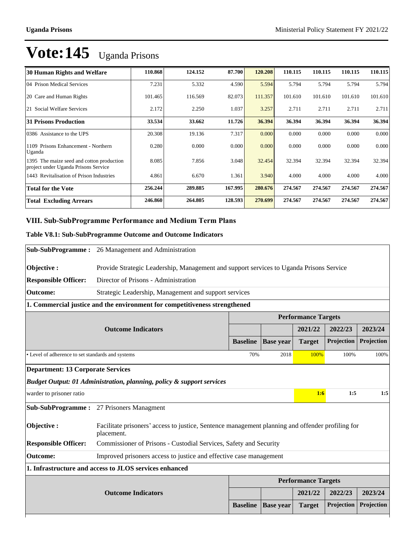| <b>30 Human Rights and Welfare</b>                                                   | 110.868 | 124.152 | 87.700  | 120.208 | 110.115 | 110.115 | 110.115 | 110.115 |
|--------------------------------------------------------------------------------------|---------|---------|---------|---------|---------|---------|---------|---------|
| 04 Prison Medical Services                                                           | 7.231   | 5.332   | 4.590   | 5.594   | 5.794   | 5.794   | 5.794   | 5.794   |
| 20 Care and Human Rights                                                             | 101.465 | 116.569 | 82.073  | 111.357 | 101.610 | 101.610 | 101.610 | 101.610 |
| 21 Social Welfare Services                                                           | 2.172   | 2.250   | 1.037   | 3.257   | 2.711   | 2.711   | 2.711   | 2.711   |
| <b>31 Prisons Production</b>                                                         | 33.534  | 33.662  | 11.726  | 36.394  | 36.394  | 36.394  | 36.394  | 36.394  |
| 0386 Assistance to the UPS                                                           | 20.308  | 19.136  | 7.317   | 0.000   | 0.000   | 0.000   | 0.000   | 0.000   |
| Prisons Enhancement - Northern<br>1109<br>Uganda                                     | 0.280   | 0.000   | 0.000   | 0.000   | 0.000   | 0.000   | 0.000   | 0.000   |
| The maize seed and cotton production<br>1395<br>project under Uganda Prisons Service | 8.085   | 7.856   | 3.048   | 32.454  | 32.394  | 32.394  | 32.394  | 32.394  |
| 1443 Revitalisation of Prison Industries                                             | 4.861   | 6.670   | 1.361   | 3.940   | 4.000   | 4.000   | 4.000   | 4.000   |
| <b>Total for the Vote</b>                                                            | 256.244 | 289.885 | 167.995 | 280.676 | 274.567 | 274.567 | 274.567 | 274.567 |
| <b>Total Excluding Arrears</b>                                                       | 246.860 | 264.805 | 128.593 | 270.699 | 274.567 | 274.567 | 274.567 | 274.567 |

### VIII. Sub-SubProgramme Performance and Medium Term Plans

### **Table V8.1: Sub-SubProgramme Outcome and Outcome Indicators**

|                                                   | <b>Sub-SubProgramme:</b> 26 Management and Administration                                                      |                 |                  |                            |            |            |  |  |
|---------------------------------------------------|----------------------------------------------------------------------------------------------------------------|-----------------|------------------|----------------------------|------------|------------|--|--|
| Objective:                                        | Provide Strategic Leadership, Management and support services to Uganda Prisons Service                        |                 |                  |                            |            |            |  |  |
| <b>Responsible Officer:</b>                       | Director of Prisons - Administration                                                                           |                 |                  |                            |            |            |  |  |
| <b>Outcome:</b>                                   | Strategic Leadership, Management and support services                                                          |                 |                  |                            |            |            |  |  |
|                                                   | 1. Commercial justice and the environment for competitiveness strengthened                                     |                 |                  |                            |            |            |  |  |
|                                                   |                                                                                                                |                 |                  | <b>Performance Targets</b> |            |            |  |  |
|                                                   | <b>Outcome Indicators</b>                                                                                      |                 |                  | 2021/22                    | 2022/23    | 2023/24    |  |  |
|                                                   |                                                                                                                | <b>Baseline</b> | <b>Base year</b> | <b>Target</b>              | Projection | Projection |  |  |
| • Level of adherence to set standards and systems |                                                                                                                | 70%             | 2018             | 100%                       | 100%       | 100%       |  |  |
| <b>Department: 13 Corporate Services</b>          |                                                                                                                |                 |                  |                            |            |            |  |  |
|                                                   | Budget Output: 01 Administration, planning, policy & support services                                          |                 |                  |                            |            |            |  |  |
| warder to prisoner ratio                          |                                                                                                                |                 |                  | 1:6                        | 1:5        | 1:5        |  |  |
|                                                   | <b>Sub-SubProgramme:</b> 27 Prisoners Managment                                                                |                 |                  |                            |            |            |  |  |
| Objective:                                        | Facilitate prisoners' access to justice, Sentence management planning and offender profiling for<br>placement. |                 |                  |                            |            |            |  |  |
| <b>Responsible Officer:</b>                       | Commissioner of Prisons - Custodial Services, Safety and Security                                              |                 |                  |                            |            |            |  |  |
| <b>Outcome:</b>                                   | Improved prisoners access to justice and effective case management                                             |                 |                  |                            |            |            |  |  |
|                                                   | 1. Infrastructure and access to JLOS services enhanced                                                         |                 |                  |                            |            |            |  |  |
|                                                   |                                                                                                                |                 |                  | <b>Performance Targets</b> |            |            |  |  |
|                                                   | <b>Outcome Indicators</b>                                                                                      |                 |                  | 2021/22                    | 2022/23    | 2023/24    |  |  |
|                                                   |                                                                                                                | <b>Baseline</b> | <b>Base year</b> | <b>Target</b>              | Projection | Projection |  |  |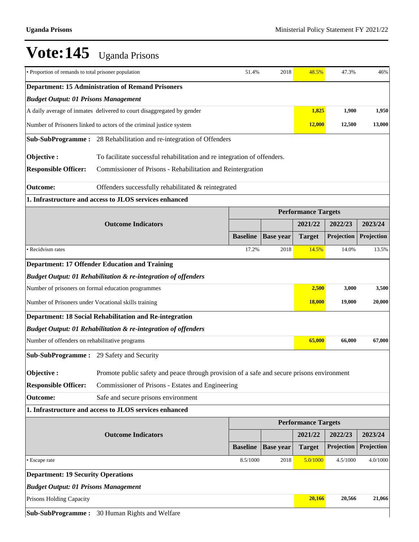| • Proportion of remands to total prisoner population     |                                                                                            | 51.4%           | 2018             | 48.5%                      | 47.3%      | 46%        |  |  |
|----------------------------------------------------------|--------------------------------------------------------------------------------------------|-----------------|------------------|----------------------------|------------|------------|--|--|
| <b>Department: 15 Administration of Remand Prisoners</b> |                                                                                            |                 |                  |                            |            |            |  |  |
| <b>Budget Output: 01 Prisons Management</b>              |                                                                                            |                 |                  |                            |            |            |  |  |
|                                                          | A daily average of inmates delivered to court disaggregated by gender                      |                 |                  | 1,825                      | 1,900      | 1,950      |  |  |
|                                                          | Number of Prisoners linked to actors of the criminal justice system                        |                 |                  | <b>12,000</b>              | 12,500     | 13,000     |  |  |
|                                                          | Sub-SubProgramme: 28 Rehabilitation and re-integration of Offenders                        |                 |                  |                            |            |            |  |  |
| Objective:                                               | To facilitate successful rehabilitation and re integration of offenders.                   |                 |                  |                            |            |            |  |  |
| <b>Responsible Officer:</b>                              | Commissioner of Prisons - Rehabilitation and Reintergration                                |                 |                  |                            |            |            |  |  |
| <b>Outcome:</b>                                          | Offenders successfully rehabilitated & reintegrated                                        |                 |                  |                            |            |            |  |  |
| 1. Infrastructure and access to JLOS services enhanced   |                                                                                            |                 |                  |                            |            |            |  |  |
|                                                          |                                                                                            |                 |                  | <b>Performance Targets</b> |            |            |  |  |
|                                                          | <b>Outcome Indicators</b>                                                                  |                 |                  | 2021/22                    | 2022/23    | 2023/24    |  |  |
|                                                          |                                                                                            | <b>Baseline</b> | <b>Base year</b> | <b>Target</b>              | Projection | Projection |  |  |
| · Recidvism rates                                        |                                                                                            | 17.2%           | 2018             | 14.5%                      | 14.0%      | 13.5%      |  |  |
|                                                          | <b>Department: 17 Offender Education and Training</b>                                      |                 |                  |                            |            |            |  |  |
|                                                          | <b>Budget Output: 01 Rehabilitation &amp; re-integration of offenders</b>                  |                 |                  |                            |            |            |  |  |
|                                                          | Number of prisoners on formal education programmes                                         |                 |                  | 2,500                      | 3,000      | 3,500      |  |  |
| Number of Prisoners under Vocational skills training     |                                                                                            |                 |                  | <b>18,000</b>              | 19,000     | 20,000     |  |  |
|                                                          | Department: 18 Social Rehabilitation and Re-integration                                    |                 |                  |                            |            |            |  |  |
|                                                          | <b>Budget Output: 01 Rehabilitation &amp; re-integration of offenders</b>                  |                 |                  |                            |            |            |  |  |
| Number of offenders on rehabilitative programs           |                                                                                            |                 |                  | 65,000                     | 66,000     | 67,000     |  |  |
| <b>Sub-SubProgramme:</b> 29 Safety and Security          |                                                                                            |                 |                  |                            |            |            |  |  |
| Objective :                                              | Promote public safety and peace through provision of a safe and secure prisons environment |                 |                  |                            |            |            |  |  |
| <b>Responsible Officer:</b>                              | Commissioner of Prisons - Estates and Engineering                                          |                 |                  |                            |            |            |  |  |
| <b>Outcome:</b>                                          | Safe and secure prisons environment                                                        |                 |                  |                            |            |            |  |  |
|                                                          | 1. Infrastructure and access to JLOS services enhanced                                     |                 |                  |                            |            |            |  |  |
|                                                          |                                                                                            |                 |                  | <b>Performance Targets</b> |            |            |  |  |
|                                                          | <b>Outcome Indicators</b>                                                                  |                 |                  | 2021/22                    | 2022/23    | 2023/24    |  |  |
|                                                          |                                                                                            | <b>Baseline</b> | <b>Base year</b> | <b>Target</b>              | Projection | Projection |  |  |
| • Escape rate                                            |                                                                                            | 8.5/1000        | 2018             | 5.0/1000                   | 4.5/1000   | 4.0/1000   |  |  |
| <b>Department: 19 Security Operations</b>                |                                                                                            |                 |                  |                            |            |            |  |  |
| <b>Budget Output: 01 Prisons Management</b>              |                                                                                            |                 |                  |                            |            |            |  |  |
| Prisons Holding Capacity                                 |                                                                                            |                 |                  | 20,166                     | 20,566     | 21,066     |  |  |
|                                                          | Sub-SubProgramme: 30 Human Rights and Welfare                                              |                 |                  |                            |            |            |  |  |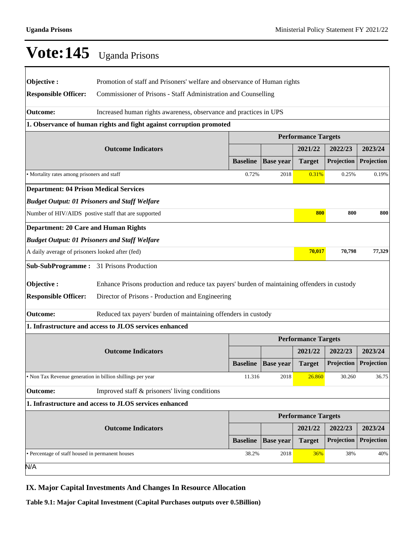|                                                                     | $\mathbf v$ $\mathbf v$ $\mathbf t$ $\mathbf w$ $\mathbf w$ $\mathbf w$ $\mathbf w$ $\mathbf w$ $\mathbf w$ $\mathbf w$ $\mathbf w$ $\mathbf w$ $\mathbf w$ $\mathbf w$ $\mathbf w$ $\mathbf w$ $\mathbf w$ $\mathbf w$ $\mathbf w$ $\mathbf w$ $\mathbf w$ $\mathbf w$ $\mathbf w$ $\mathbf w$ $\mathbf w$ $\mathbf w$ $\mathbf w$ $\mathbf w$ $\mathbf w$ $\mathbf w$ $\mathbf w$ $\mathbf$ |                 |                  |                            |            |            |  |  |
|---------------------------------------------------------------------|-----------------------------------------------------------------------------------------------------------------------------------------------------------------------------------------------------------------------------------------------------------------------------------------------------------------------------------------------------------------------------------------------|-----------------|------------------|----------------------------|------------|------------|--|--|
| Objective:<br><b>Responsible Officer:</b>                           | Promotion of staff and Prisoners' welfare and observance of Human rights<br>Commissioner of Prisons - Staff Administration and Counselling                                                                                                                                                                                                                                                    |                 |                  |                            |            |            |  |  |
|                                                                     | Increased human rights awareness, observance and practices in UPS                                                                                                                                                                                                                                                                                                                             |                 |                  |                            |            |            |  |  |
| <b>Outcome:</b>                                                     |                                                                                                                                                                                                                                                                                                                                                                                               |                 |                  |                            |            |            |  |  |
| 1. Observance of human rights and fight against corruption promoted |                                                                                                                                                                                                                                                                                                                                                                                               |                 |                  |                            |            |            |  |  |
|                                                                     |                                                                                                                                                                                                                                                                                                                                                                                               |                 |                  | <b>Performance Targets</b> |            |            |  |  |
|                                                                     | <b>Outcome Indicators</b>                                                                                                                                                                                                                                                                                                                                                                     |                 |                  | 2021/22                    | 2022/23    | 2023/24    |  |  |
|                                                                     |                                                                                                                                                                                                                                                                                                                                                                                               | <b>Baseline</b> | <b>Base year</b> | <b>Target</b>              | Projection | Projection |  |  |
| · Mortality rates among prisoners and staff                         |                                                                                                                                                                                                                                                                                                                                                                                               | 0.72%           | 2018             | 0.31%                      | 0.25%      | 0.19%      |  |  |
| <b>Department: 04 Prison Medical Services</b>                       |                                                                                                                                                                                                                                                                                                                                                                                               |                 |                  |                            |            |            |  |  |
| <b>Budget Output: 01 Prisoners and Staff Welfare</b>                |                                                                                                                                                                                                                                                                                                                                                                                               |                 |                  |                            |            |            |  |  |
|                                                                     | Number of HIV/AIDS postive staff that are supported                                                                                                                                                                                                                                                                                                                                           |                 |                  | 800                        | 800        | 800        |  |  |
| <b>Department: 20 Care and Human Rights</b>                         |                                                                                                                                                                                                                                                                                                                                                                                               |                 |                  |                            |            |            |  |  |
| <b>Budget Output: 01 Prisoners and Staff Welfare</b>                |                                                                                                                                                                                                                                                                                                                                                                                               |                 |                  |                            |            |            |  |  |
| A daily average of prisoners looked after (fed)                     |                                                                                                                                                                                                                                                                                                                                                                                               |                 |                  | 70,017                     | 70,798     | 77,329     |  |  |
| Sub-SubProgramme: 31 Prisons Production                             |                                                                                                                                                                                                                                                                                                                                                                                               |                 |                  |                            |            |            |  |  |
| Objective:                                                          | Enhance Prisons production and reduce tax payers' burden of maintaining offenders in custody                                                                                                                                                                                                                                                                                                  |                 |                  |                            |            |            |  |  |
| <b>Responsible Officer:</b>                                         | Director of Prisons - Production and Engineering                                                                                                                                                                                                                                                                                                                                              |                 |                  |                            |            |            |  |  |
| <b>Outcome:</b>                                                     | Reduced tax payers' burden of maintaining offenders in custody                                                                                                                                                                                                                                                                                                                                |                 |                  |                            |            |            |  |  |
|                                                                     | 1. Infrastructure and access to JLOS services enhanced                                                                                                                                                                                                                                                                                                                                        |                 |                  |                            |            |            |  |  |
|                                                                     |                                                                                                                                                                                                                                                                                                                                                                                               |                 |                  | <b>Performance Targets</b> |            |            |  |  |
|                                                                     | <b>Outcome Indicators</b>                                                                                                                                                                                                                                                                                                                                                                     |                 |                  | 2021/22                    | 2022/23    | 2023/24    |  |  |
|                                                                     |                                                                                                                                                                                                                                                                                                                                                                                               | <b>Baseline</b> | <b>Base</b> year | <b>Target</b>              | Projection | Projection |  |  |
|                                                                     |                                                                                                                                                                                                                                                                                                                                                                                               |                 |                  |                            |            |            |  |  |
| • Non Tax Revenue generation in billion shillings per year          |                                                                                                                                                                                                                                                                                                                                                                                               | 11.316          | 2018             | 26.860                     | 30.260     | 36.75      |  |  |
| <b>Outcome:</b>                                                     | Improved staff & prisoners' living conditions                                                                                                                                                                                                                                                                                                                                                 |                 |                  |                            |            |            |  |  |
|                                                                     | 1. Infrastructure and access to JLOS services enhanced                                                                                                                                                                                                                                                                                                                                        |                 |                  |                            |            |            |  |  |
|                                                                     |                                                                                                                                                                                                                                                                                                                                                                                               |                 |                  | <b>Performance Targets</b> |            |            |  |  |
|                                                                     | <b>Outcome Indicators</b>                                                                                                                                                                                                                                                                                                                                                                     |                 |                  | 2021/22                    | 2022/23    | 2023/24    |  |  |
|                                                                     |                                                                                                                                                                                                                                                                                                                                                                                               | <b>Baseline</b> | <b>Base year</b> | <b>Target</b>              | Projection | Projection |  |  |
| • Percentage of staff housed in permanent houses                    |                                                                                                                                                                                                                                                                                                                                                                                               | 38.2%           | 2018             | 36%                        | 38%        | 40%        |  |  |
| N/A                                                                 |                                                                                                                                                                                                                                                                                                                                                                                               |                 |                  |                            |            |            |  |  |

**IX. Major Capital Investments And Changes In Resource Allocation**

**Table 9.1: Major Capital Investment (Capital Purchases outputs over 0.5Billion)**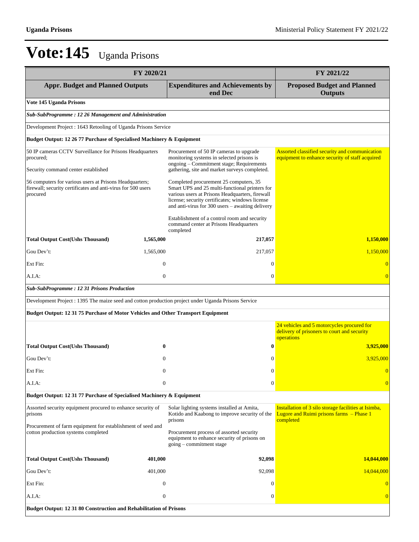|                                                                                                                                     | FY 2020/21       |                                                                                                                                                                                                                                                                                                                                              |                                                                                                               |  |
|-------------------------------------------------------------------------------------------------------------------------------------|------------------|----------------------------------------------------------------------------------------------------------------------------------------------------------------------------------------------------------------------------------------------------------------------------------------------------------------------------------------------|---------------------------------------------------------------------------------------------------------------|--|
| <b>Appr. Budget and Planned Outputs</b>                                                                                             |                  | <b>Expenditures and Achievements by</b><br>end Dec                                                                                                                                                                                                                                                                                           | <b>Proposed Budget and Planned</b><br><b>Outputs</b>                                                          |  |
| Vote 145 Uganda Prisons                                                                                                             |                  |                                                                                                                                                                                                                                                                                                                                              |                                                                                                               |  |
| Sub-SubProgramme: 12 26 Management and Administration                                                                               |                  |                                                                                                                                                                                                                                                                                                                                              |                                                                                                               |  |
| Development Project: 1643 Retooling of Uganda Prisons Service                                                                       |                  |                                                                                                                                                                                                                                                                                                                                              |                                                                                                               |  |
| Budget Output: 12 26 77 Purchase of Specialised Machinery & Equipment                                                               |                  |                                                                                                                                                                                                                                                                                                                                              |                                                                                                               |  |
| 50 IP cameras CCTV Surveillance for Prisons Headquarters<br>procured;<br>Security command center established                        |                  | Procurement of 50 IP cameras to upgrade<br>monitoring systems in selected prisons is<br>ongoing - Commitment stage; Requirements<br>gathering, site and market surveys completed.                                                                                                                                                            | Assorted classified security and communication<br>equipment to enhance security of staff acquired             |  |
| 56 computers for various users at Prisons Headquarters;<br>firewall; security certificates and anti-virus for 500 users<br>procured |                  | Completed procurement 25 computers, 35<br>Smart UPS and 25 multi-functional printers for<br>various users at Prisons Headquarters, firewall<br>license; security certificates; windows license<br>and anti-virus for 300 users - awaiting delivery<br>Establishment of a control room and security<br>command center at Prisons Headquarters |                                                                                                               |  |
| <b>Total Output Cost(Ushs Thousand)</b>                                                                                             | 1,565,000        | completed<br>217,057                                                                                                                                                                                                                                                                                                                         | 1,150,000                                                                                                     |  |
| Gou Dev't:                                                                                                                          | 1,565,000        | 217,057                                                                                                                                                                                                                                                                                                                                      | 1,150,000                                                                                                     |  |
| Ext Fin:                                                                                                                            | $\boldsymbol{0}$ | $\mathbf{0}$                                                                                                                                                                                                                                                                                                                                 | $\mathbf{0}$                                                                                                  |  |
| A.I.A:                                                                                                                              | $\mathbf{0}$     | $\mathbf{0}$                                                                                                                                                                                                                                                                                                                                 | $\overline{0}$                                                                                                |  |
| <b>Sub-SubProgramme: 12 31 Prisons Production</b>                                                                                   |                  |                                                                                                                                                                                                                                                                                                                                              |                                                                                                               |  |
| Development Project : 1395 The maize seed and cotton production project under Uganda Prisons Service                                |                  |                                                                                                                                                                                                                                                                                                                                              |                                                                                                               |  |
| Budget Output: 12 31 75 Purchase of Motor Vehicles and Other Transport Equipment                                                    |                  |                                                                                                                                                                                                                                                                                                                                              |                                                                                                               |  |
|                                                                                                                                     |                  |                                                                                                                                                                                                                                                                                                                                              | 24 vehicles and 5 motorcycles procured for                                                                    |  |
|                                                                                                                                     |                  |                                                                                                                                                                                                                                                                                                                                              | delivery of prisoners to court and security<br>operations                                                     |  |
| <b>Total Output Cost(Ushs Thousand)</b>                                                                                             | 0                |                                                                                                                                                                                                                                                                                                                                              | 3,925,000                                                                                                     |  |
| Gou Dev't:                                                                                                                          | $\theta$         | $\Omega$                                                                                                                                                                                                                                                                                                                                     | 3,925,000                                                                                                     |  |
| Ext Fin:                                                                                                                            | $\Omega$         | $\Omega$                                                                                                                                                                                                                                                                                                                                     | $\Omega$                                                                                                      |  |
| A.I.A:                                                                                                                              | $\boldsymbol{0}$ | $\mathbf{0}$                                                                                                                                                                                                                                                                                                                                 | $\Omega$                                                                                                      |  |
| Budget Output: 12 31 77 Purchase of Specialised Machinery & Equipment                                                               |                  |                                                                                                                                                                                                                                                                                                                                              |                                                                                                               |  |
| Assorted security equipment procured to enhance security of<br>prisons                                                              |                  | Solar lighting systems installed at Amita,<br>Kotido and Kaabong to improve security of the<br>prisons                                                                                                                                                                                                                                       | Installation of 3 silo storage facilities at Isimba,<br>Lugore and Ruimi prisons farms - Phase 1<br>completed |  |
| Procurement of farm equipment for establishment of seed and<br>cotton production systems completed                                  |                  | Procurement process of assorted security<br>equipment to enhance security of prisons on<br>$going$ – commitment stage                                                                                                                                                                                                                        |                                                                                                               |  |
| <b>Total Output Cost(Ushs Thousand)</b>                                                                                             | 401,000          | 92,098                                                                                                                                                                                                                                                                                                                                       | 14,044,000                                                                                                    |  |
| Gou Dev't:                                                                                                                          | 401,000          | 92,098                                                                                                                                                                                                                                                                                                                                       | 14,044,000                                                                                                    |  |
| Ext Fin:                                                                                                                            | $\boldsymbol{0}$ | 0                                                                                                                                                                                                                                                                                                                                            | $\overline{0}$                                                                                                |  |
| A.I.A:                                                                                                                              | $\boldsymbol{0}$ | 0                                                                                                                                                                                                                                                                                                                                            | $\overline{0}$                                                                                                |  |
| Budget Output: 12 31 80 Construction and Rehabilitation of Prisons                                                                  |                  |                                                                                                                                                                                                                                                                                                                                              |                                                                                                               |  |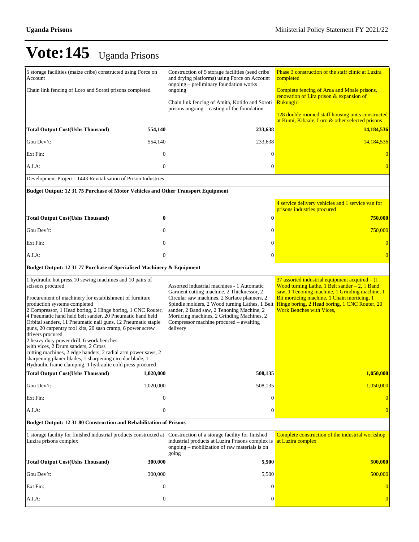| 5 storage facilities (maize cribs) constructed using Force on<br>Account<br>Chain link fencing of Loro and Soroti prisons completed<br><b>Total Output Cost(Ushs Thousand)</b><br>Gou Dev't:<br>Ext Fin:<br>A.I.A:<br>Development Project : 1443 Revitalisation of Prison Industries                                                                                                                                                                                                                                                                                                                                                                                                                                               | 554,140<br>554,140<br>$\mathbf{0}$<br>$\theta$ | Construction of 5 storage facilities (seed cribs<br>and drying platforms) using Force on Account<br>ongoing – preliminary foundation works<br>ongoing<br>Chain link fencing of Amita, Kotido and Soroti<br>prisons ongoing – casting of the foundation<br>233,638<br>233,638<br>$\overline{0}$<br>0                                        | Phase 3 construction of the staff clinic at Luzira<br>completed<br>Complete fencing of Arua and Mbale prisons,<br>renovation of Lira prison & expansion of<br>Rukungiri<br>128 double roomed staff housing units constructed<br>at Kumi, Kibaale, Loro & other selected prisons<br>14,184,536<br>14,184,536<br>$\bf{0}$<br>$\overline{0}$ |
|------------------------------------------------------------------------------------------------------------------------------------------------------------------------------------------------------------------------------------------------------------------------------------------------------------------------------------------------------------------------------------------------------------------------------------------------------------------------------------------------------------------------------------------------------------------------------------------------------------------------------------------------------------------------------------------------------------------------------------|------------------------------------------------|--------------------------------------------------------------------------------------------------------------------------------------------------------------------------------------------------------------------------------------------------------------------------------------------------------------------------------------------|-------------------------------------------------------------------------------------------------------------------------------------------------------------------------------------------------------------------------------------------------------------------------------------------------------------------------------------------|
| Budget Output: 12 31 75 Purchase of Motor Vehicles and Other Transport Equipment                                                                                                                                                                                                                                                                                                                                                                                                                                                                                                                                                                                                                                                   |                                                |                                                                                                                                                                                                                                                                                                                                            |                                                                                                                                                                                                                                                                                                                                           |
| <b>Total Output Cost(Ushs Thousand)</b>                                                                                                                                                                                                                                                                                                                                                                                                                                                                                                                                                                                                                                                                                            | $\boldsymbol{0}$                               | 0                                                                                                                                                                                                                                                                                                                                          | 4 service delivery vehicles and 1 service van for<br>prisons industries procured<br><b>750,000</b>                                                                                                                                                                                                                                        |
| Gou Dev't:                                                                                                                                                                                                                                                                                                                                                                                                                                                                                                                                                                                                                                                                                                                         | $\mathbf{0}$                                   | 0                                                                                                                                                                                                                                                                                                                                          | 750,000                                                                                                                                                                                                                                                                                                                                   |
| Ext Fin:                                                                                                                                                                                                                                                                                                                                                                                                                                                                                                                                                                                                                                                                                                                           | $\mathbf{0}$                                   | 0                                                                                                                                                                                                                                                                                                                                          | $\overline{0}$                                                                                                                                                                                                                                                                                                                            |
| A.I.A:                                                                                                                                                                                                                                                                                                                                                                                                                                                                                                                                                                                                                                                                                                                             | $\boldsymbol{0}$                               | 0                                                                                                                                                                                                                                                                                                                                          | $\overline{0}$                                                                                                                                                                                                                                                                                                                            |
| Budget Output: 12 31 77 Purchase of Specialised Machinery & Equipment                                                                                                                                                                                                                                                                                                                                                                                                                                                                                                                                                                                                                                                              |                                                |                                                                                                                                                                                                                                                                                                                                            |                                                                                                                                                                                                                                                                                                                                           |
| 1 hydraulic hot press, 10 sewing machines and 10 pairs of<br>scissors procured<br>Procurement of machinery for establishment of furniture<br>production systems completed<br>2 Compressor, 1 Head boring, 2 Hinge boring, 1 CNC Router,<br>4 Pneumatic hand held belt sander, 20 Pneumatic hand held<br>Orbital sanders, 11 Pneumatic nail guns, 12 Pneumatic staple<br>guns, 20 carpentry tool kits, 20 sash cramp, 6 power screw<br>drivers procured<br>2 heavy duty power drill, 6 work benches<br>with vices, 2 Drum sanders, 2 Cross<br>cutting machines, 2 edge banders, 2 radial arm power saws, 2<br>sharpening planer blades, 1 sharpening circular blade, 1<br>Hydraulic frame clamping, 1 hydraulic cold press procured |                                                | Assorted industrial machines - 1 Automatic<br>Garment cutting machine, 2 Thicknessor, 2<br>Circular saw machines, 2 Surface planners, 2<br>Spindle molders, 2 Wood turning Lathes, 1 Belt<br>sander, 2 Band saw, 2 Tenoning Machine, 2<br>Morticing machines, 2 Grinding Machines, 2<br>Compressor machine procured – awaiting<br>delivery | 37 assorted industrial equipment acquired $- (1)$<br>Wood turning Lathe, 1 Belt sander $-2$ , 1 Band<br>saw, 1 Tenoning machine, 1 Grinding machine, 1<br>Bit morticing machine, 1 Chain morticing, 1<br>Hinge boring, 2 Head boring, 1 CNC Router, 20<br><b>Work Benches with Vices,</b>                                                 |
| Total Output Cost(Ushs Thousand) 1,020,000                                                                                                                                                                                                                                                                                                                                                                                                                                                                                                                                                                                                                                                                                         |                                                | 508,135                                                                                                                                                                                                                                                                                                                                    | 1,050,000                                                                                                                                                                                                                                                                                                                                 |
| Gou Dev't:                                                                                                                                                                                                                                                                                                                                                                                                                                                                                                                                                                                                                                                                                                                         | 1,020,000                                      | 508,135                                                                                                                                                                                                                                                                                                                                    | 1,050,000                                                                                                                                                                                                                                                                                                                                 |
| Ext Fin:                                                                                                                                                                                                                                                                                                                                                                                                                                                                                                                                                                                                                                                                                                                           | $\boldsymbol{0}$                               | 0                                                                                                                                                                                                                                                                                                                                          | $\overline{0}$                                                                                                                                                                                                                                                                                                                            |
| A.I.A:                                                                                                                                                                                                                                                                                                                                                                                                                                                                                                                                                                                                                                                                                                                             | $\boldsymbol{0}$                               | 0                                                                                                                                                                                                                                                                                                                                          | $\overline{0}$                                                                                                                                                                                                                                                                                                                            |
| Budget Output: 12 31 80 Construction and Rehabilitation of Prisons                                                                                                                                                                                                                                                                                                                                                                                                                                                                                                                                                                                                                                                                 |                                                |                                                                                                                                                                                                                                                                                                                                            |                                                                                                                                                                                                                                                                                                                                           |
| 1 storage facility for finished industrial products constructed at Construction of a storage facility for finished<br>Luzira prisons complex                                                                                                                                                                                                                                                                                                                                                                                                                                                                                                                                                                                       |                                                | industrial products at Luzira Prisons complex is<br>ongoing – mobilization of raw materials is on<br>going                                                                                                                                                                                                                                 | Complete construction of the industrial workshop<br>at Luzira complex                                                                                                                                                                                                                                                                     |
| <b>Total Output Cost(Ushs Thousand)</b>                                                                                                                                                                                                                                                                                                                                                                                                                                                                                                                                                                                                                                                                                            | 300,000                                        | 5,500                                                                                                                                                                                                                                                                                                                                      | 500,000                                                                                                                                                                                                                                                                                                                                   |
| Gou Dev't:                                                                                                                                                                                                                                                                                                                                                                                                                                                                                                                                                                                                                                                                                                                         | 300,000                                        | 5,500                                                                                                                                                                                                                                                                                                                                      | 500,000                                                                                                                                                                                                                                                                                                                                   |
| Ext Fin:                                                                                                                                                                                                                                                                                                                                                                                                                                                                                                                                                                                                                                                                                                                           | $\mathbf{0}$                                   | $\theta$                                                                                                                                                                                                                                                                                                                                   | $\overline{0}$                                                                                                                                                                                                                                                                                                                            |
| A.I.A:                                                                                                                                                                                                                                                                                                                                                                                                                                                                                                                                                                                                                                                                                                                             | $\boldsymbol{0}$                               | 0                                                                                                                                                                                                                                                                                                                                          | $\mathbf{0}$                                                                                                                                                                                                                                                                                                                              |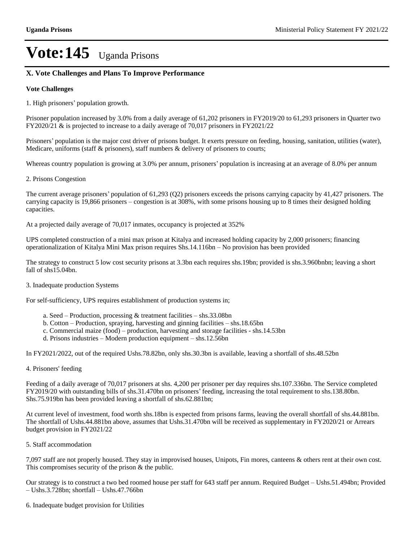### **X. Vote Challenges and Plans To Improve Performance**

#### **Vote Challenges**

1. High prisoners' population growth.

Prisoner population increased by 3.0% from a daily average of 61,202 prisoners in FY2019/20 to 61,293 prisoners in Quarter two FY2020/21 & is projected to increase to a daily average of 70,017 prisoners in FY2021/22

Prisoners' population is the major cost driver of prisons budget. It exerts pressure on feeding, housing, sanitation, utilities (water), Medicare, uniforms (staff & prisoners), staff numbers & delivery of prisoners to courts;

Whereas country population is growing at 3.0% per annum, prisoners' population is increasing at an average of 8.0% per annum

2. Prisons Congestion

The current average prisoners' population of  $61,293$  (Q2) prisoners exceeds the prisons carrying capacity by  $41,427$  prisoners. The carrying capacity is 19,866 prisoners – congestion is at 308%, with some prisons housing up to 8 times their designed holding capacities.

At a projected daily average of 70,017 inmates, occupancy is projected at 352%

UPS completed construction of a mini max prison at Kitalya and increased holding capacity by 2,000 prisoners; financing operationalization of Kitalya Mini Max prison requires  $\text{Shs}.14.116\text{bn} - \text{No}$  provision has been provided

The strategy to construct 5 low cost security prisons at 3.3bn each requires shs.19bn; provided is shs.3.960bnbn; leaving a short fall of shs15.04bn.

3. Inadequate production Systems

For self-sufficiency, UPS requires establishment of production systems in;

- a. Seed  $-$  Production, processing  $\&$  treatment facilities  $-$  shs.33.08bn
- b. Cotton  $-$  Production, spraying, harvesting and ginning facilities  $-$  shs.18.65bn
- c. Commercial maize (food) production, harvesting and storage facilities shs.14.53bn
- d. Prisons industries Modern production equipment shs.12.56bn

In FY2021/2022, out of the required Ushs.78.82bn, only shs.30.3bn is available, leaving a shortfall of shs.48.52bn

4. Prisoners' feeding

Feeding of a daily average of 70,017 prisoners at shs. 4,200 per prisoner per day requires shs.107.336bn. The Service completed FY2019/20 with outstanding bills of shs.31.470bn on prisoners' feeding, increasing the total requirement to shs.138.80bn. Shs.75.919bn has been provided leaving a shortfall of shs.62.881bn;

At current level of investment, food worth shs.18bn is expected from prisons farms, leaving the overall shortfall of shs.44.881bn. The shortfall of Ushs.44.881bn above, assumes that Ushs.31.470bn will be received as supplementary in FY2020/21 or Arrears budget provision in FY2021/22

5. Staff accommodation

7,097 staff are not properly housed. They stay in improvised houses, Unipots, Fin mores, canteens & others rent at their own cost. This compromises security of the prison & the public.

Our strategy is to construct a two bed roomed house per staff for 643 staff per annum. Required Budget – Ushs.51.494bn; Provided  $-Ushs.3.728bn$ ; shortfall  $-Ushs.47.766bn$ 

6. Inadequate budget provision for Utilities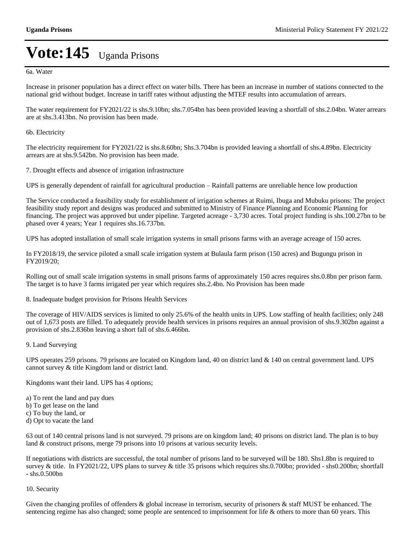6a. Water

Increase in prisoner population has a direct effect on water bills. There has been an increase in number of stations connected to the national grid without budget. Increase in tariff rates without adjusting the MTEF results into accumulation of arrears.

The water requirement for FY2021/22 is shs.9.10bn; shs.7.054bn has been provided leaving a shortfall of shs.2.04bn. Water arrears are at shs.3.413bn. No provision has been made.

#### 6b. Electricity

The electricity requirement for FY2021/22 is shs.8.60bn; Shs.3.704bn is provided leaving a shortfall of shs.4.89bn. Electricity arrears are at shs.9.542bn. No provision has been made.

7. Drought effects and absence of irrigation infrastructure

UPS is generally dependent of rainfall for agricultural production – Rainfall patterns are unreliable hence low production

The Service conducted a feasibility study for establishment of irrigation schemes at Ruimi, Ibuga and Mubuku prisons: The project feasibility study report and designs was produced and submitted to Ministry of Finance Planning and Economic Planning for financing. The project was approved but under pipeline. Targeted acreage - 3,730 acres. Total project funding is shs.100.27bn to be phased over 4 years; Year 1 requires shs.16.737bn.

UPS has adopted installation of small scale irrigation systems in small prisons farms with an average acreage of 150 acres.

In FY2018/19, the service piloted a small scale irrigation system at Bulaula farm prison (150 acres) and Bugungu prison in FY2019/20;

Rolling out of small scale irrigation systems in small prisons farms of approximately 150 acres requires shs.0.8bn per prison farm. The target is to have 3 farms irrigated per year which requires shs.2.4bn. No Provision has been made

8. Inadequate budget provision for Prisons Health Services

The coverage of HIV/AIDS services is limited to only 25.6% of the health units in UPS. Low staffing of health facilities; only 248 out of 1,673 posts are filled. To adequately provide health services in prisons requires an annual provision of shs.9.302bn against a provision of shs.2.836bn leaving a short fall of shs.6.466bn.

#### 9. Land Surveying

UPS operates 259 prisons. 79 prisons are located on Kingdom land, 40 on district land & 140 on central government land. UPS cannot survey & title Kingdom land or district land.

Kingdoms want their land. UPS has 4 options;

a) To rent the land and pay dues

- b) To get lease on the land
- c) To buy the land, or
- d) Opt to vacate the land

63 out of 140 central prisons land is not surveyed. 79 prisons are on kingdom land; 40 prisons on district land. The plan is to buy land & construct prisons, merge 79 prisons into 10 prisons at various security levels.

If negotiations with districts are successful, the total number of prisons land to be surveyed will be 180. Shs1.8bn is required to survey & title. In FY2021/22, UPS plans to survey & title 35 prisons which requires shs.0.700bn; provided - shs0.200bn; shortfall - shs.0.500bn

#### 10. Security

Given the changing profiles of offenders  $\&$  global increase in terrorism, security of prisoners  $\&$  staff MUST be enhanced. The sentencing regime has also changed; some people are sentenced to imprisonment for life & others to more than 60 years. This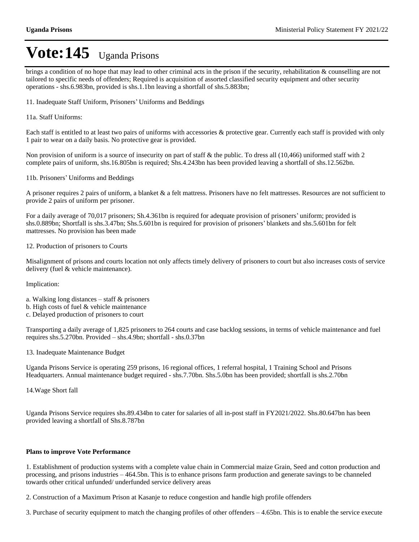brings a condition of no hope that may lead to other criminal acts in the prison if the security, rehabilitation & counselling are not tailored to specific needs of offenders; Required is acquisition of assorted classified security equipment and other security operations - shs.6.983bn, provided is shs.1.1bn leaving a shortfall of shs.5.883bn;

11. Inadequate Staff Uniform, Prisoners' Uniforms and Beddings

11a. Staff Uniforms:

Each staff is entitled to at least two pairs of uniforms with accessories & protective gear. Currently each staff is provided with only 1 pair to wear on a daily basis. No protective gear is provided.

Non provision of uniform is a source of insecurity on part of staff & the public. To dress all (10,466) uniformed staff with 2 complete pairs of uniform, shs.16.805bn is required; Shs.4.243bn has been provided leaving a shortfall of shs.12.562bn.

11b. Prisoners' Uniforms and Beddings

A prisoner requires 2 pairs of uniform, a blanket & a felt mattress. Prisoners have no felt mattresses. Resources are not sufficient to provide 2 pairs of uniform per prisoner.

For a daily average of 70,017 prisoners; Sh.4.361bn is required for adequate provision of prisoners' uniform; provided is shs.0.889bn; Shortfall is shs.3.47bn; Shs.5.601bn is required for provision of prisoners' blankets and shs.5.601bn for felt mattresses. No provision has been made

12. Production of prisoners to Courts

Misalignment of prisons and courts location not only affects timely delivery of prisoners to court but also increases costs of service delivery (fuel & vehicle maintenance).

Implication:

- a. Walking long distances  $-$  staff  $\&$  prisoners
- b. High costs of fuel & vehicle maintenance
- c. Delayed production of prisoners to court

Transporting a daily average of 1,825 prisoners to 264 courts and case backlog sessions, in terms of vehicle maintenance and fuel requires shs.5.270bn. Provided  $-\,$ shs.4.9bn; shortfall  $-\,$ shs.0.37bn

13. Inadequate Maintenance Budget

Uganda Prisons Service is operating 259 prisons, 16 regional offices, 1 referral hospital, 1 Training School and Prisons Headquarters. Annual maintenance budget required - shs.7.70bn. Shs.5.0bn has been provided; shortfall is shs.2.70bn

14.Wage Short fall

Uganda Prisons Service requires shs.89.434bn to cater for salaries of all in-post staff in FY2021/2022. Shs.80.647bn has been provided leaving a shortfall of Shs.8.787bn

#### **Plans to improve Vote Performance**

1. Establishment of production systems with a complete value chain in Commercial maize Grain, Seed and cotton production and processing, and prisons industries  $-464.5$ bn. This is to enhance prisons farm production and generate savings to be channeled towards other critical unfunded/ underfunded service delivery areas

2. Construction of a Maximum Prison at Kasanje to reduce congestion and handle high profile offenders

3. Purchase of security equipment to match the changing profiles of other offenders  $-4.65$ bn. This is to enable the service execute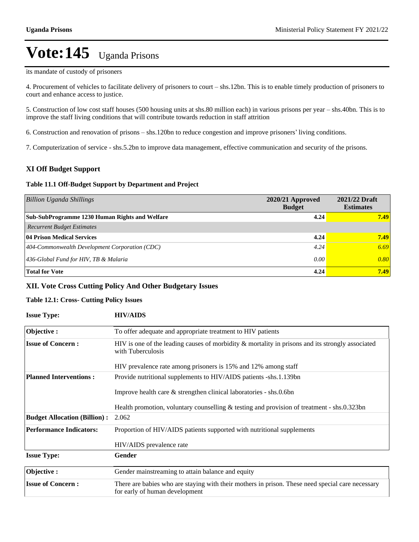its mandate of custody of prisoners

4. Procurement of vehicles to facilitate delivery of prisoners to court – shs.12bn. This is to enable timely production of prisoners to court and enhance access to justice.

5. Construction of low cost staff houses (500 housing units at shs.80 million each) in various prisons per year – shs.40bn. This is to improve the staff living conditions that will contribute towards reduction in staff attrition

6. Construction and renovation of prisons – shs.120bn to reduce congestion and improve prisoners' living conditions.

7. Computerization of service - shs.5.2bn to improve data management, effective communication and security of the prisons.

#### **XI Off Budget Support**

#### **Table 11.1 Off-Budget Support by Department and Project**

| <b>Billion Uganda Shillings</b>                    | 2020/21 Approved<br><b>Budget</b> | 2021/22 Draft<br><b>Estimates</b> |
|----------------------------------------------------|-----------------------------------|-----------------------------------|
| Sub-SubProgramme 1230 Human Rights and Welfare     | 4.24                              | 7.49                              |
| <b>Recurrent Budget Estimates</b>                  |                                   |                                   |
| <b>04 Prison Medical Services</b>                  | 4.24                              | 7.49                              |
| $ 404$ -Commonwealth Development Corporation (CDC) | 4.24                              | 6.69                              |
| 436-Global Fund for HIV, TB & Malaria              | 0.00                              | 0.80                              |
| <b>Total for Vote</b>                              | 4.24                              | 7.49                              |

#### **XII. Vote Cross Cutting Policy And Other Budgetary Issues**

#### **Table 12.1: Cross- Cutting Policy Issues**

| <b>Issue Type:</b>                  | <b>HIV/AIDS</b>                                                                                                                    |
|-------------------------------------|------------------------------------------------------------------------------------------------------------------------------------|
| Objective:                          | To offer adequate and appropriate treatment to HIV patients                                                                        |
| <b>Issue of Concern:</b>            | HIV is one of the leading causes of morbidity $\&$ mortality in prisons and its strongly associated<br>with Tuberculosis           |
|                                     | HIV prevalence rate among prisoners is 15% and 12% among staff                                                                     |
| <b>Planned Interventions:</b>       | Provide nutritional supplements to HIV/AIDS patients -shs.1.139bn                                                                  |
|                                     | Improve health care $\&$ strengthen clinical laboratories - shs.0.6bn                                                              |
|                                     | Health promotion, voluntary counselling $&$ testing and provision of treatment - shs.0.323bn                                       |
| <b>Budget Allocation (Billion):</b> | 2.062                                                                                                                              |
| <b>Performance Indicators:</b>      | Proportion of HIV/AIDS patients supported with nutritional supplements                                                             |
|                                     | HIV/AIDS prevalence rate                                                                                                           |
| <b>Issue Type:</b>                  | Gender                                                                                                                             |
| Objective:                          | Gender mainstreaming to attain balance and equity                                                                                  |
| <b>Issue of Concern:</b>            | There are babies who are staying with their mothers in prison. These need special care necessary<br>for early of human development |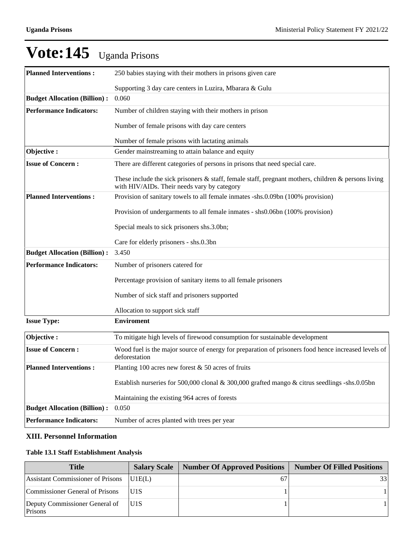| V OLE: 145                          | <b>Uganda Prisons</b>                                                                                                                              |
|-------------------------------------|----------------------------------------------------------------------------------------------------------------------------------------------------|
| <b>Planned Interventions:</b>       | 250 babies staying with their mothers in prisons given care                                                                                        |
|                                     | Supporting 3 day care centers in Luzira, Mbarara & Gulu                                                                                            |
| <b>Budget Allocation (Billion):</b> | 0.060                                                                                                                                              |
| <b>Performance Indicators:</b>      | Number of children staying with their mothers in prison                                                                                            |
|                                     | Number of female prisons with day care centers                                                                                                     |
|                                     | Number of female prisons with lactating animals                                                                                                    |
| Objective:                          | Gender mainstreaming to attain balance and equity                                                                                                  |
| <b>Issue of Concern:</b>            | There are different categories of persons in prisons that need special care.                                                                       |
|                                     | These include the sick prisoners & staff, female staff, pregnant mothers, children & persons living<br>with HIV/AIDs. Their needs vary by category |
| <b>Planned Interventions:</b>       | Provision of sanitary towels to all female inmates -shs.0.09bn (100% provision)                                                                    |
|                                     | Provision of undergarments to all female inmates - shs0.06bn (100% provision)                                                                      |
|                                     | Special meals to sick prisoners shs.3.0bn;                                                                                                         |
|                                     | Care for elderly prisoners - shs.0.3bn                                                                                                             |
| <b>Budget Allocation (Billion):</b> | 3.450                                                                                                                                              |
| <b>Performance Indicators:</b>      | Number of prisoners catered for                                                                                                                    |
|                                     | Percentage provision of sanitary items to all female prisoners                                                                                     |
|                                     | Number of sick staff and prisoners supported                                                                                                       |
|                                     | Allocation to support sick staff                                                                                                                   |
| <b>Issue Type:</b>                  | <b>Enviroment</b>                                                                                                                                  |
| Objective:                          | To mitigate high levels of firewood consumption for sustainable development                                                                        |

## $V_{\alpha}$ t<sub>o</sub>:145

#### **XIII. Personnel Information**

**Budget Allocation (Billion) :** 0.050

#### **Table 13.1 Staff Establishment Analysis**

deforestation **Planned Interventions :** Planting 100 acres new forest & 50 acres of fruits

**Performance Indicators:** Number of acres planted with trees per year

| <b>Title</b>                              | <b>Salary Scale</b> | Number Of Approved Positions | <b>Number Of Filled Positions</b> |
|-------------------------------------------|---------------------|------------------------------|-----------------------------------|
| Assistant Commissioner of Prisons         | U <sub>1</sub> E(L) |                              | 33                                |
| Commissioner General of Prisons           | IU1S                |                              |                                   |
| Deputy Commissioner General of<br>Prisons | IU1S                |                              |                                   |

**Issue of Concern :** Wood fuel is the major source of energy for preparation of prisoners food hence increased levels of

Maintaining the existing 964 acres of forests

Establish nurseries for 500,000 clonal & 300,000 grafted mango & citrus seedlings -shs.0.05bn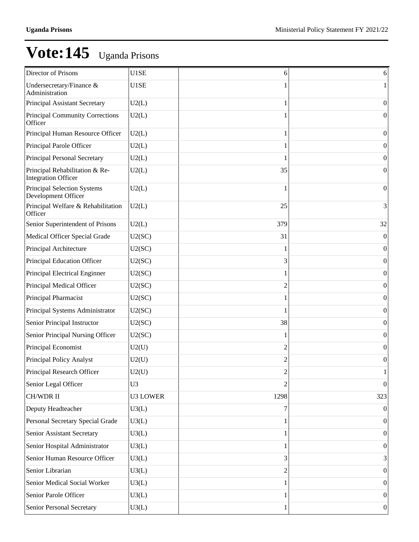| Director of Prisons                                          | U1SE            | 6    | 6                |
|--------------------------------------------------------------|-----------------|------|------------------|
| Undersecretary/Finance &<br>Administration                   | U1SE            |      |                  |
| Principal Assistant Secretary                                | U2(L)           |      | $\mathbf{0}$     |
| <b>Principal Community Corrections</b><br>Officer            | U2(L)           |      | $\mathbf{0}$     |
| Principal Human Resource Officer                             | U2(L)           |      | $\boldsymbol{0}$ |
| Principal Parole Officer                                     | U2(L)           |      | 0                |
| Principal Personal Secretary                                 | U2(L)           |      | $\boldsymbol{0}$ |
| Principal Rehabilitation & Re-<br><b>Integration Officer</b> | U2(L)           | 35   | 0                |
| Principal Selection Systems<br>Development Officer           | U2(L)           |      | $\mathbf{0}$     |
| Principal Welfare & Rehabilitation<br>Officer                | U2(L)           | 25   | 3                |
| Senior Superintendent of Prisons                             | U2(L)           | 379  | 32               |
| Medical Officer Special Grade                                | U2(SC)          | 31   | $\overline{0}$   |
| Principal Architecture                                       | U2(SC)          |      | $\overline{0}$   |
| Principal Education Officer                                  | U2(SC)          | 3    | $\boldsymbol{0}$ |
| Principal Electrical Enginner                                | U2(SC)          |      | $\boldsymbol{0}$ |
| Principal Medical Officer                                    | U2(SC)          | 2    | $\boldsymbol{0}$ |
| Principal Pharmacist                                         | U2(SC)          |      | $\boldsymbol{0}$ |
| Principal Systems Administrator                              | U2(SC)          |      | $\boldsymbol{0}$ |
| Senior Principal Instructor                                  | U2(SC)          | 38   | $\boldsymbol{0}$ |
| Senior Principal Nursing Officer                             | U2(SC)          |      | $\boldsymbol{0}$ |
| Principal Economist                                          | U2(U)           | 2    | $\boldsymbol{0}$ |
| Principal Policy Analyst                                     | U2(U)           | 2    | $\boldsymbol{0}$ |
| Principal Research Officer                                   | U2(U)           | 2    | $\mathbf{I}$     |
| Senior Legal Officer                                         | U <sub>3</sub>  | 2    | $\vert 0 \vert$  |
| CH/WDR II                                                    | <b>U3 LOWER</b> | 1298 | 323              |
| Deputy Headteacher                                           | U3(L)           | 7    | $\Omega$         |
| Personal Secretary Special Grade                             | U3(L)           |      | $\vert 0 \vert$  |
| Senior Assistant Secretary                                   | U3(L)           |      | $\boldsymbol{0}$ |
| Senior Hospital Administrator                                | U3(L)           |      | $\vert 0 \vert$  |
| Senior Human Resource Officer                                | U3(L)           | 3    | 3                |
| Senior Librarian                                             | U3(L)           | 2    | $\vert 0 \vert$  |
| Senior Medical Social Worker                                 | U3(L)           |      | $\boldsymbol{0}$ |
| Senior Parole Officer                                        | U3(L)           |      | $\vert 0 \vert$  |
| Senior Personal Secretary                                    | U3(L)           | 1    | 0                |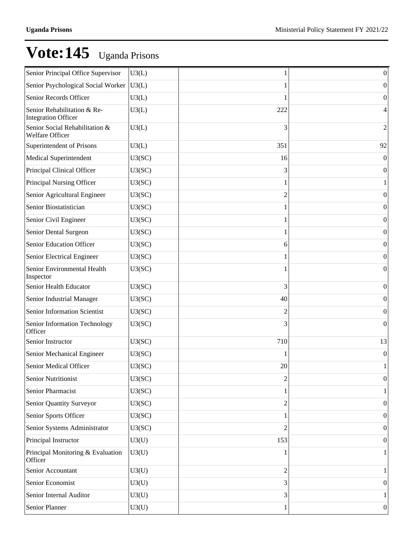| Senior Principal Office Supervisor                        | U3(L)  |                | $\boldsymbol{0}$ |
|-----------------------------------------------------------|--------|----------------|------------------|
| Senior Psychological Social Worker                        | U3(L)  |                | 0                |
| Senior Records Officer                                    | U3(L)  |                | $\theta$         |
| Senior Rehabilitation & Re-<br><b>Integration Officer</b> | U3(L)  | 222            | 4                |
| Senior Social Rehabilitation &<br>Welfare Officer         | U3(L)  | 3              | $\overline{2}$   |
| Superintendent of Prisons                                 | U3(L)  | 351            | 92               |
| Medical Superintendent                                    | U3(SC) | 16             | $\mathbf{0}$     |
| Principal Clinical Officer                                | U3(SC) | 3              | $\boldsymbol{0}$ |
| Principal Nursing Officer                                 | U3(SC) |                |                  |
| Senior Agricultural Engineer                              | U3(SC) | 2              | $\boldsymbol{0}$ |
| Senior Biostatistician                                    | U3(SC) |                | $\boldsymbol{0}$ |
| Senior Civil Engineer                                     | U3(SC) |                | $\boldsymbol{0}$ |
| Senior Dental Surgeon                                     | U3(SC) |                | $\boldsymbol{0}$ |
| Senior Education Officer                                  | U3(SC) | 6              | $\boldsymbol{0}$ |
| Senior Electrical Engineer                                | U3(SC) |                | $\boldsymbol{0}$ |
| Senior Environmental Health<br>Inspector                  | U3(SC) |                | $\boldsymbol{0}$ |
| Senior Health Educator                                    | U3(SC) | 3              | $\mathbf{0}$     |
| Senior Industrial Manager                                 | U3(SC) | 40             | $\theta$         |
| Senior Information Scientist                              | U3(SC) | 2              | $\theta$         |
| Senior Information Technology<br>Officer                  | U3(SC) | 3              | $\theta$         |
| Senior Instructor                                         | U3(SC) | 710            | 13               |
| Senior Mechanical Engineer                                | U3(SC) |                | $\boldsymbol{0}$ |
| Senior Medical Officer                                    | U3(SC) | 20             | $\mathbf{1}$     |
| <b>Senior Nutritionist</b>                                | U3(SC) | 2              | $\vert 0 \vert$  |
| Senior Pharmacist                                         | U3(SC) |                |                  |
| Senior Quantity Surveyor                                  | U3(SC) | 2              | $\boldsymbol{0}$ |
| Senior Sports Officer                                     | U3(SC) |                | $\boldsymbol{0}$ |
| Senior Systems Administrator                              | U3(SC) | 2              | $\boldsymbol{0}$ |
| Principal Instructor                                      | U3(U)  | 153            | $\boldsymbol{0}$ |
| Principal Monitoring & Evaluation<br>Officer              | U3(U)  | 1              | 1                |
| Senior Accountant                                         | U3(U)  | $\overline{c}$ | 1                |
| Senior Economist                                          | U3(U)  | 3              | $\boldsymbol{0}$ |
| Senior Internal Auditor                                   | U3(U)  | 3              | 1                |
| Senior Planner                                            | U3(U)  | 1              | 0                |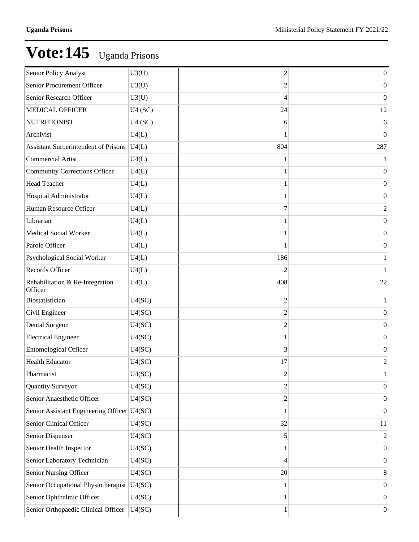| Senior Policy Analyst                       | U3(U)  | 2              | $\boldsymbol{0}$ |
|---------------------------------------------|--------|----------------|------------------|
| Senior Procurement Officer                  | U3(U)  | 2              | $\boldsymbol{0}$ |
| Senior Research Officer                     | U3(U)  | 4              | $\mathbf{0}$     |
| <b>MEDICAL OFFICER</b>                      | U4(SC) | 24             | 12               |
| NUTRITIONIST                                | U4(SC) | 6              | 6                |
| Archivist                                   | U4(L)  |                | $\boldsymbol{0}$ |
| Assistant Surperintendent of Prisons        | U4(L)  | 804            | 287              |
| Commercial Artist                           | U4(L)  |                | 1                |
| Community Corrections Officer               | U4(L)  |                | $\boldsymbol{0}$ |
| Head Teacher                                | U4(L)  |                | $\boldsymbol{0}$ |
| Hospital Administrator                      | U4(L)  |                | $\boldsymbol{0}$ |
| Human Resource Officer                      | U4(L)  | 7              | $\overline{c}$   |
| Librarian                                   | U4(L)  |                | $\boldsymbol{0}$ |
| Medical Social Worker                       | U4(L)  |                | $\boldsymbol{0}$ |
| Parole Officer                              | U4(L)  |                | $\boldsymbol{0}$ |
| Psychological Social Worker                 | U4(L)  | 186            | $\mathbf{1}$     |
| Records Officer                             | U4(L)  |                | 1                |
| Rehabilitation & Re-Integration<br>Officer  | U4(L)  | 408            | 22               |
| Biostatistician                             | U4(SC) | $\overline{2}$ | 1                |
| Civil Engineer                              | U4(SC) | $\overline{c}$ | $\boldsymbol{0}$ |
| Dental Surgeon                              | U4(SC) | 2              | $\boldsymbol{0}$ |
| Electrical Engineer                         | U4(SC) |                | $\boldsymbol{0}$ |
| Entomological Officer                       | U4(SC) | 3              | $\mathbf{0}$     |
| <b>Health Educator</b>                      | U4(SC) | 17             | $\overline{2}$   |
| Pharmacist                                  | U4(SC) | $\overline{c}$ | $\mathbf{1}$     |
| <b>Quantity Surveyor</b>                    | U4(SC) | $\overline{2}$ | $\boldsymbol{0}$ |
| Senior Anaesthetic Officer                  | U4(SC) | 2              | $\boldsymbol{0}$ |
| Senior Assistant Engineering Officer U4(SC) |        |                | $\boldsymbol{0}$ |
| Senior Clinical Officer                     | U4(SC) | 32             | 11               |
| Senior Dispenser                            | U4(SC) | 5              | $\overline{c}$   |
| Senior Health Inspector                     | U4(SC) |                | $\boldsymbol{0}$ |
| Senior Laboratory Technician                | U4(SC) | 4              | $\boldsymbol{0}$ |
| Senior Nursing Officer                      | U4(SC) | 20             | 8                |
| Senior Occupational Physiotherapist         | U4(SC) |                | $\boldsymbol{0}$ |
| Senior Ophthalmic Officer                   | U4(SC) |                | $\boldsymbol{0}$ |
| Senior Orthopaedic Clinical Officer         | U4(SC) | 1              | 0                |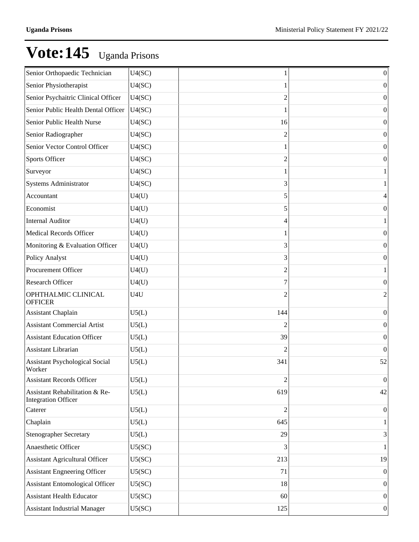| Senior Orthopaedic Technician                                | U4(SC) |                | $\boldsymbol{0}$ |
|--------------------------------------------------------------|--------|----------------|------------------|
|                                                              |        |                |                  |
| Senior Physiotherapist                                       | U4(SC) |                | $\theta$         |
| Senior Psychaitric Clinical Officer                          | U4(SC) | 2              | $\theta$         |
| Senior Public Health Dental Officer                          | U4(SC) |                | $\Omega$         |
| Senior Public Health Nurse                                   | U4(SC) | 16             | $\theta$         |
| Senior Radiographer                                          | U4(SC) | 2              | $\Omega$         |
| Senior Vector Control Officer                                | U4(SC) |                | $\theta$         |
| <b>Sports Officer</b>                                        | U4(SC) | 2              | $\theta$         |
| Surveyor                                                     | U4(SC) |                |                  |
| <b>Systems Administrator</b>                                 | U4(SC) | 3              |                  |
| Accountant                                                   | U4(U)  | 5              | 4                |
| Economist                                                    | U4(U)  | 5              | $\theta$         |
| <b>Internal Auditor</b>                                      | U4(U)  | 4              |                  |
| <b>Medical Records Officer</b>                               | U4(U)  |                | $\Omega$         |
| Monitoring & Evaluation Officer                              | U4(U)  | 3              | $\theta$         |
| <b>Policy Analyst</b>                                        | U4(U)  | 3              | $\Omega$         |
| Procurement Officer                                          | U4(U)  | 2              |                  |
| <b>Research Officer</b>                                      | U4(U)  | 7              | $\theta$         |
| OPHTHALMIC CLINICAL<br><b>OFFICER</b>                        | U4U    | 2              | $\overline{2}$   |
| <b>Assistant Chaplain</b>                                    | U5(L)  | 144            | $\mathbf{0}$     |
| <b>Assistant Commercial Artist</b>                           | U5(L)  |                | $\mathbf{0}$     |
| <b>Assistant Education Officer</b>                           | U5(L)  | 39             | $\mathbf{0}$     |
| Assistant Librarian                                          | U5(L)  |                | $\overline{0}$   |
| <b>Assistant Psychological Social</b><br>Worker              | U5(L)  | 341            | 52               |
| <b>Assistant Records Officer</b>                             | U5(L)  | $\overline{2}$ | $\vert 0 \vert$  |
| Assistant Rehabilitation & Re-<br><b>Integration Officer</b> | U5(L)  | 619            | 42               |
| Caterer                                                      | U5(L)  | 2              | $\theta$         |
| Chaplain                                                     | U5(L)  | 645            |                  |
| <b>Stenographer Secretary</b>                                | U5(L)  | 29             | 3                |
| Anaesthetic Officer                                          | U5(SC) | 3              | 1                |
| <b>Assistant Agricultural Officer</b>                        | U5(SC) | 213            | 19               |
| <b>Assistant Engneering Officer</b>                          | U5(SC) | 71             | $\theta$         |
| <b>Assistant Entomological Officer</b>                       | U5(SC) | 18             | $\theta$         |
| <b>Assistant Health Educator</b>                             | U5(SC) | 60             | $\mathbf{0}$     |
| <b>Assistant Industrial Manager</b>                          | U5(SC) | 125            | $\boldsymbol{0}$ |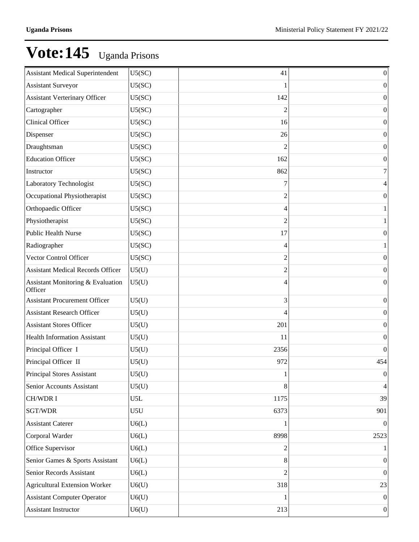| <b>Assistant Medical Superintendent</b>      | U5(SC) | 41   | $\boldsymbol{0}$         |
|----------------------------------------------|--------|------|--------------------------|
| <b>Assistant Surveyor</b>                    | U5(SC) |      | $\boldsymbol{0}$         |
| <b>Assistant Verterinary Officer</b>         | U5(SC) | 142  | $\theta$                 |
| Cartographer                                 | U5(SC) | 2    | $\boldsymbol{0}$         |
| Clinical Officer                             | U5(SC) | 16   | $\theta$                 |
| Dispenser                                    | U5(SC) | 26   | $\boldsymbol{0}$         |
| Draughtsman                                  | U5(SC) |      | $\theta$                 |
| <b>Education Officer</b>                     | U5(SC) | 162  | $\boldsymbol{0}$         |
| Instructor                                   | U5(SC) | 862  | 7                        |
| Laboratory Technologist                      | U5(SC) | 7    | 4                        |
| Occupational Physiotherapist                 | U5(SC) | 2    | $\boldsymbol{0}$         |
| Orthopaedic Officer                          | U5(SC) | 4    | 1                        |
| Physiotherapist                              | U5(SC) | 2    | 1                        |
| <b>Public Health Nurse</b>                   | U5(SC) | 17   | $\boldsymbol{0}$         |
| Radiographer                                 | U5(SC) | 4    | 1                        |
| Vector Control Officer                       | U5(SC) | 2    | $\boldsymbol{0}$         |
| <b>Assistant Medical Records Officer</b>     | U5(U)  | 2    | $\mathbf{0}$             |
| Assistant Monitoring & Evaluation<br>Officer | U5(U)  | 4    | $\mathbf{0}$             |
| <b>Assistant Procurement Officer</b>         | U5(U)  | 3    | $\boldsymbol{0}$         |
| <b>Assistant Research Officer</b>            | U5(U)  |      | $\boldsymbol{0}$         |
| <b>Assistant Stores Officer</b>              | U5(U)  | 201  | $\boldsymbol{0}$         |
| <b>Health Information Assistant</b>          | U5(U)  | 11   | $\boldsymbol{0}$         |
| Principal Officer I                          | U5(U)  | 2356 | $\boldsymbol{0}$         |
| Principal Officer II                         | U5(U)  | 972  | 454                      |
| Principal Stores Assistant                   | U5(U)  | 1    | $\boldsymbol{0}$         |
| Senior Accounts Assistant                    | U5(U)  | 8    | $\overline{\mathcal{A}}$ |
| <b>CH/WDRI</b>                               | U5L    | 1175 | 39                       |
| SGT/WDR                                      | U5U    | 6373 | 901                      |
| <b>Assistant Caterer</b>                     | U6(L)  |      | $\theta$                 |
| Corporal Warder                              | U6(L)  | 8998 | 2523                     |
| Office Supervisor                            | U6(L)  | 2    | 1                        |
| Senior Games & Sports Assistant              | U6(L)  | 8    | $\boldsymbol{0}$         |
| Senior Records Assistant                     | U6(L)  | 2    | $\boldsymbol{0}$         |
| <b>Agricultural Extension Worker</b>         | U6(U)  | 318  | 23                       |
| <b>Assistant Computer Operator</b>           | U6(U)  |      | $\vert 0 \vert$          |
| Assistant Instructor                         | U6(U)  | 213  | 0                        |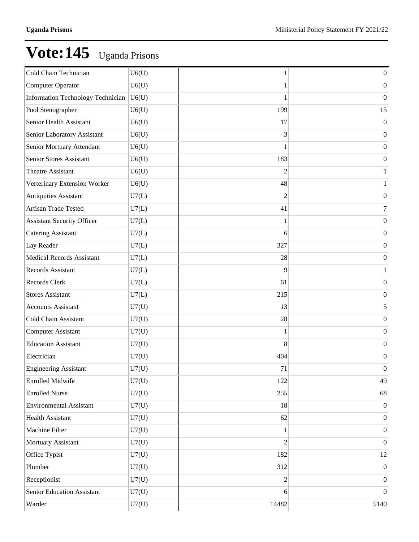| Cold Chain Technician             | U6(U) |       | $\vert 0 \vert$  |
|-----------------------------------|-------|-------|------------------|
| Computer Operator                 | U6(U) |       | $\theta$         |
| Information Technology Technician | U6(U) |       | $\overline{0}$   |
| Pool Stenographer                 | U6(U) | 199   | 15               |
| Senior Health Assistant           | U6(U) | 17    | $\Omega$         |
| Senior Laboratory Assistant       | U6(U) | 3     | $\theta$         |
| Senior Mortuary Attendant         | U6(U) |       | $\theta$         |
| Senior Stores Assistant           | U6(U) | 183   | $\Omega$         |
| Theatre Assistant                 | U6(U) | 2     |                  |
| Verterinary Extension Worker      | U6(U) | 48    |                  |
| <b>Antiquities Assistant</b>      | U7(L) | 2     | $\theta$         |
| Artisan Trade Tested              | U7(L) | 41    | 7                |
| <b>Assistant Security Officer</b> | U7(L) |       | $\theta$         |
| <b>Catering Assistant</b>         | U7(L) | 6     | $\theta$         |
| Lay Reader                        | U7(L) | 327   | $\theta$         |
| <b>Medical Records Assistant</b>  | U7(L) | 28    | $\theta$         |
| <b>Records Assistant</b>          | U7(L) | 9     |                  |
| Records Clerk                     | U7(L) | 61    | $\theta$         |
| <b>Stores Assistant</b>           | U7(L) | 215   | $\theta$         |
| <b>Accounts Assistant</b>         | U7(U) | 13    | 5                |
| Cold Chain Assistant              | U7(U) | 28    | $\theta$         |
| <b>Computer Assistant</b>         | U7(U) |       | $\Omega$         |
| <b>Education Assistant</b>        | U7(U) | 8     | $\theta$         |
| Electrician                       | U7(U) | 404   | $\theta$         |
| <b>Engineering Assistant</b>      | U7(U) | 71    | $\Omega$         |
| <b>Enrolled Midwife</b>           | U7(U) | 122   | 49               |
| <b>Enrolled Nurse</b>             | U7(U) | 255   | 68               |
| <b>Environmental Assistant</b>    | U7(U) | 18    | $\theta$         |
| <b>Health Assistant</b>           | U7(U) | 62    | $\overline{0}$   |
| Machine Filter                    | U7(U) |       | $\boldsymbol{0}$ |
| Mortuary Assistant                | U7(U) | 2     | $\overline{0}$   |
| Office Typist                     | U7(U) | 182   | 12               |
| Plumber                           | U7(U) | 312   | $\theta$         |
| Receptionist                      | U7(U) | 2     | $\mathbf{0}$     |
| Senior Education Assistant        | U7(U) | 6     | $\Omega$         |
| Warder                            | U7(U) | 14482 | 5140             |